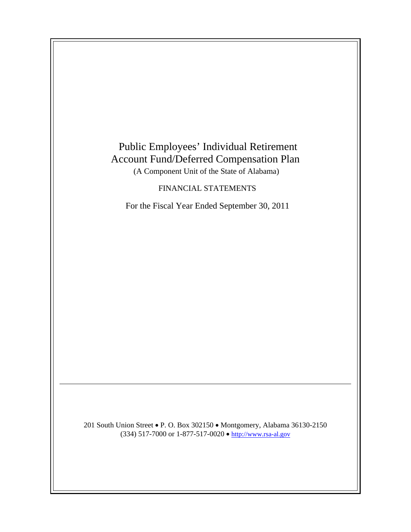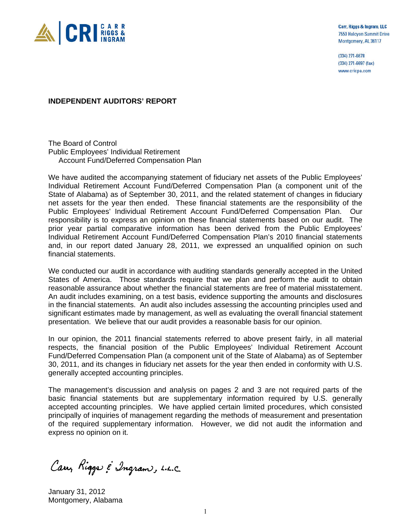

Carr, Riggs & Ingram, LLC 7550 Halcyon Summit Drive Montgomery, AL 36117

(334) 271-6678 (334) 271-6697 (fax) www.cricpa.com

**INDEPENDENT AUDITORS' REPORT** 

The Board of Control Public Employees' Individual Retirement Account Fund/Deferred Compensation Plan

We have audited the accompanying statement of fiduciary net assets of the Public Employees' Individual Retirement Account Fund/Deferred Compensation Plan (a component unit of the State of Alabama) as of September 30, 2011, and the related statement of changes in fiduciary net assets for the year then ended. These financial statements are the responsibility of the Public Employees' Individual Retirement Account Fund/Deferred Compensation Plan. Our responsibility is to express an opinion on these financial statements based on our audit. The prior year partial comparative information has been derived from the Public Employees' Individual Retirement Account Fund/Deferred Compensation Plan's 2010 financial statements and, in our report dated January 28, 2011, we expressed an unqualified opinion on such financial statements.

We conducted our audit in accordance with auditing standards generally accepted in the United States of America. Those standards require that we plan and perform the audit to obtain reasonable assurance about whether the financial statements are free of material misstatement. An audit includes examining, on a test basis, evidence supporting the amounts and disclosures in the financial statements. An audit also includes assessing the accounting principles used and significant estimates made by management, as well as evaluating the overall financial statement presentation. We believe that our audit provides a reasonable basis for our opinion.

In our opinion, the 2011 financial statements referred to above present fairly, in all material respects, the financial position of the Public Employees' Individual Retirement Account Fund/Deferred Compensation Plan (a component unit of the State of Alabama) as of September 30, 2011, and its changes in fiduciary net assets for the year then ended in conformity with U.S. generally accepted accounting principles.

The management's discussion and analysis on pages 2 and 3 are not required parts of the basic financial statements but are supplementary information required by U.S. generally accepted accounting principles. We have applied certain limited procedures, which consisted principally of inquiries of management regarding the methods of measurement and presentation of the required supplementary information. However, we did not audit the information and express no opinion on it.

Carry Rigger & Ingram, L.L.C.

January 31, 2012 Montgomery, Alabama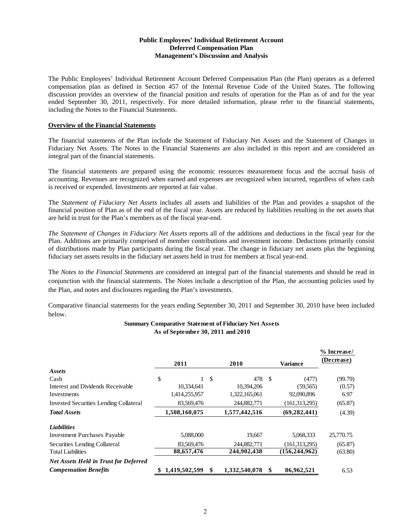#### **Public Employees' Individual Retirement Account Deferred Compensation Plan Management's Discussion and Analysis**

The Public Employees' Individual Retirement Account Deferred Compensation Plan (the Plan) operates as a deferred compensation plan as defined in Section 457 of the Internal Revenue Code of the United States. The following discussion provides an overview of the financial position and results of operation for the Plan as of and for the year ended September 30, 2011, respectively. For more detailed information, please refer to the financial statements, including the Notes to the Financial Statements.

#### **Overview of the Financial Statements**

The financial statements of the Plan include the Statement of Fiduciary Net Assets and the Statement of Changes in Fiduciary Net Assets. The Notes to the Financial Statements are also included in this report and are considered an integral part of the financial statements.

The financial statements are prepared using the economic resources measurement focus and the accrual basis of accounting. Revenues are recognized when earned and expenses are recognized when incurred, regardless of when cash is received or expended. Investments are reported at fair value.

The *Statement of Fiduciary Net Assets* includes all assets and liabilities of the Plan and provides a snapshot of the financial position of Plan as of the end of the fiscal year. Assets are reduced by liabilities resulting in the net assets that are held in trust for the Plan's members as of the fiscal year-end.

*The Statement of Changes in Fiduciary Net Assets* reports all of the additions and deductions in the fiscal year for the Plan. Additions are primarily comprised of member contributions and investment income. Deductions primarily consist of distributions made by Plan participants during the fiscal year. The change in fiduciary net assets plus the beginning fiduciary net assets results in the fiduciary net assets held in trust for members at fiscal year-end.

The *Notes to the Financial Statements* are considered an integral part of the financial statements and should be read in conjunction with the financial statements. The Notes include a description of the Plan, the accounting policies used by the Plan, and notes and disclosures regarding the Plan's investments.

Comparative financial statements for the years ending September 30, 2011 and September 30, 2010 have been included below.

|                                               |               |                     |                  | % Increase/ |
|-----------------------------------------------|---------------|---------------------|------------------|-------------|
|                                               | 2011          | 2010                | <b>Variance</b>  | (Decrease)  |
| Assets                                        |               |                     |                  |             |
| Cash                                          | \$            | \$<br>478 \$        | (477)            | (99.79)     |
| Interest and Dividends Receivable             | 10,334,641    | 10,394,206          | (59, 565)        | (0.57)      |
| Investments                                   | 1,414,255,957 | 1,322,165,061       | 92,090,896       | 6.97        |
| <b>Invested Securities Lending Collateral</b> | 83,569,476    | 244,882,771         | (161,313,295)    | (65.87)     |
| <b>Total Assets</b>                           | 1,508,160,075 | 1,577,442,516       | (69, 282, 441)   | (4.39)      |
| <b>Liabilities</b>                            |               |                     |                  |             |
| <b>Investment Purchases Payable</b>           | 5,088,000     | 19,667              | 5,068,333        | 25,770.75   |
| Securities Lending Collateral                 | 83,569,476    | 244,882,771         | (161, 313, 295)  | (65.87)     |
| <b>Total Liabilities</b>                      | 88,657,476    | 244,902,438         | (156, 244, 962)  | (63.80)     |
| <b>Net Assets Held in Trust for Deferred</b>  |               |                     |                  |             |
| <b>Compensation Benefits</b>                  | 1,419,502,599 | \$<br>1,332,540,078 | \$<br>86,962,521 | 6.53        |

#### **Summary Comparative Statement of Fiduciary Net Assets As of September 30, 2011 and 2010**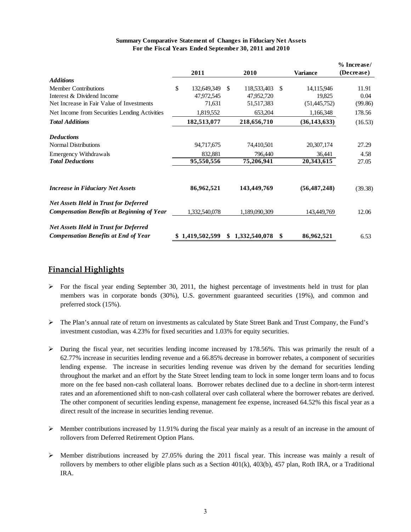| <b>Summary Comparative Statement of Changes in Fiduciary Net Assets</b> |
|-------------------------------------------------------------------------|
| For the Fiscal Years Ended September 30, 2011 and 2010                  |

|                                                   |                   |     |                 |    |                 | $%$ Increase/ |
|---------------------------------------------------|-------------------|-----|-----------------|----|-----------------|---------------|
|                                                   | 2011              |     | 2010            |    | <b>Variance</b> | (Decrease)    |
| <b>Additions</b>                                  |                   |     |                 |    |                 |               |
| <b>Member Contributions</b>                       | \$<br>132,649,349 | \$. | 118,533,403     | \$ | 14,115,946      | 11.91         |
| Interest & Dividend Income                        | 47,972,545        |     | 47,952,720      |    | 19,825          | 0.04          |
| Net Increase in Fair Value of Investments         | 71,631            |     | 51, 517, 383    |    | (51,445,752)    | (99.86)       |
| Net Income from Securities Lending Activities     | 1,819,552         |     | 653,204         |    | 1,166,348       | 178.56        |
| <b>Total Additions</b>                            | 182,513,077       |     | 218,656,710     |    | (36, 143, 633)  | (16.53)       |
| <b>Deductions</b>                                 |                   |     |                 |    |                 |               |
| <b>Normal Distributions</b>                       | 94,717,675        |     | 74,410,501      |    | 20,307,174      | 27.29         |
| Emergency Withdrawals                             | 832,881           |     | 796,440         |    | 36,441          | 4.58          |
| <b>Total Deductions</b>                           | 95,550,556        |     | 75,206,941      |    | 20,343,615      | 27.05         |
| <b>Increase in Fiduciary Net Assets</b>           | 86,962,521        |     | 143,449,769     |    | (56, 487, 248)  | (39.38)       |
| <b>Net Assets Held in Trust for Deferred</b>      |                   |     |                 |    |                 |               |
| <b>Compensation Benefits at Beginning of Year</b> | 1,332,540,078     |     | 1,189,090,309   |    | 143,449,769     | 12.06         |
| <b>Net Assets Held in Trust for Deferred</b>      |                   |     |                 |    |                 |               |
| <b>Compensation Benefits at End of Year</b>       | \$1,419,502,599   |     | \$1,332,540,078 | -S | 86,962,521      | 6.53          |

# **Financial Highlights**

- $\triangleright$  For the fiscal year ending September 30, 2011, the highest percentage of investments held in trust for plan members was in corporate bonds (30%), U.S. government guaranteed securities (19%), and common and preferred stock (15%).
- $\triangleright$  The Plan's annual rate of return on investments as calculated by State Street Bank and Trust Company, the Fund's investment custodian, was 4.23% for fixed securities and 1.03% for equity securities.
- $\triangleright$  During the fiscal year, net securities lending income increased by 178.56%. This was primarily the result of a 62.77% increase in securities lending revenue and a 66.85% decrease in borrower rebates, a component of securities lending expense. The increase in securities lending revenue was driven by the demand for securities lending throughout the market and an effort by the State Street lending team to lock in some longer term loans and to focus more on the fee based non-cash collateral loans. Borrower rebates declined due to a decline in short-term interest rates and an aforementioned shift to non-cash collateral over cash collateral where the borrower rebates are derived. The other component of securities lending expense, management fee expense, increased 64.52% this fiscal year as a direct result of the increase in securities lending revenue.
- $\triangleright$  Member contributions increased by 11.91% during the fiscal year mainly as a result of an increase in the amount of rollovers from Deferred Retirement Option Plans.
- $\triangleright$  Member distributions increased by 27.05% during the 2011 fiscal year. This increase was mainly a result of rollovers by members to other eligible plans such as a Section 401(k), 403(b), 457 plan, Roth IRA, or a Traditional IRA.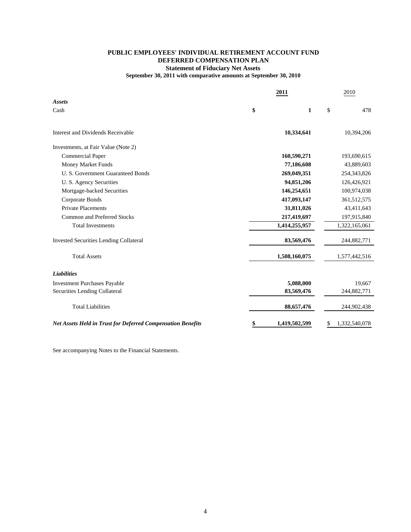#### **PUBLIC EMPLOYEES' INDIVIDUAL RETIREMENT ACCOUNT FUND DEFERRED COMPENSATION PLAN Statement of Fiduciary Net Assets September 30, 2011 with comparative amounts at September 30, 2010**

|                                                                    | 2011 |               | 2010 |               |  |
|--------------------------------------------------------------------|------|---------------|------|---------------|--|
| <b>Assets</b>                                                      |      |               |      |               |  |
| Cash                                                               | \$   | 1             | \$   | 478           |  |
| Interest and Dividends Receivable                                  |      | 10,334,641    |      | 10,394,206    |  |
| Investments, at Fair Value (Note 2)                                |      |               |      |               |  |
| <b>Commercial Paper</b>                                            |      | 160,590,271   |      | 193,690,615   |  |
| Money Market Funds                                                 |      | 77,186,608    |      | 43,889,603    |  |
| U. S. Government Guaranteed Bonds                                  |      | 269,049,351   |      | 254,343,826   |  |
| U. S. Agency Securities                                            |      | 94,851,206    |      | 126,426,921   |  |
| Mortgage-backed Securities                                         |      | 146,254,651   |      | 100,974,038   |  |
| Corporate Bonds                                                    |      | 417,093,147   |      | 361,512,575   |  |
| <b>Private Placements</b>                                          |      | 31,811,026    |      | 43,411,643    |  |
| <b>Common and Preferred Stocks</b>                                 |      | 217,419,697   |      | 197,915,840   |  |
| <b>Total Investments</b>                                           |      | 1,414,255,957 |      | 1,322,165,061 |  |
| <b>Invested Securities Lending Collateral</b>                      |      | 83,569,476    |      | 244,882,771   |  |
| <b>Total Assets</b>                                                |      | 1,508,160,075 |      | 1,577,442,516 |  |
| <b>Liabilities</b>                                                 |      |               |      |               |  |
| <b>Investment Purchases Payable</b>                                |      | 5,088,000     |      | 19,667        |  |
| Securities Lending Collateral                                      |      | 83,569,476    |      | 244,882,771   |  |
| <b>Total Liabilities</b>                                           |      | 88,657,476    |      | 244,902,438   |  |
| <b>Net Assets Held in Trust for Deferred Compensation Benefits</b> | \$   | 1,419,502,599 | \$   | 1,332,540,078 |  |

See accompanying Notes to the Financial Statements.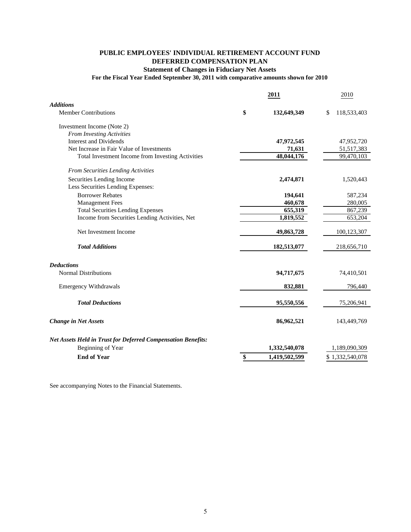# **PUBLIC EMPLOYEES' INDIVIDUAL RETIREMENT ACCOUNT FUND DEFERRED COMPENSATION PLAN Statement of Changes in Fiduciary Net Assets**

### **For the Fiscal Year Ended September 30, 2011 with comparative amounts shown for 2010**

|                                                                     | 2011                | 2010              |
|---------------------------------------------------------------------|---------------------|-------------------|
| <b>Additions</b>                                                    |                     |                   |
| <b>Member Contributions</b>                                         | \$<br>132,649,349   | \$<br>118,533,403 |
| Investment Income (Note 2)                                          |                     |                   |
| From Investing Activities                                           |                     |                   |
| <b>Interest and Dividends</b>                                       | 47,972,545          | 47,952,720        |
| Net Increase in Fair Value of Investments                           | 71,631              | 51,517,383        |
| Total Investment Income from Investing Activities                   | 48,044,176          | 99,470,103        |
| From Securities Lending Activities                                  |                     |                   |
| Securities Lending Income                                           | 2,474,871           | 1,520,443         |
| Less Securities Lending Expenses:                                   |                     |                   |
| <b>Borrower Rebates</b>                                             | 194,641             | 587,234           |
| <b>Management Fees</b>                                              | 460,678             | 280,005           |
| <b>Total Securities Lending Expenses</b>                            | 655,319             | 867,239           |
| Income from Securities Lending Activities, Net                      | 1,819,552           | 653,204           |
| Net Investment Income                                               | 49,863,728          | 100,123,307       |
| <b>Total Additions</b>                                              | 182,513,077         | 218,656,710       |
| <b>Deductions</b>                                                   |                     |                   |
| <b>Normal Distributions</b>                                         | 94,717,675          | 74,410,501        |
| <b>Emergency Withdrawals</b>                                        | 832,881             | 796,440           |
| <b>Total Deductions</b>                                             | 95,550,556          | 75,206,941        |
| <b>Change in Net Assets</b>                                         | 86,962,521          | 143,449,769       |
| <b>Net Assets Held in Trust for Deferred Compensation Benefits:</b> |                     |                   |
| Beginning of Year                                                   | 1,332,540,078       | 1,189,090,309     |
| <b>End of Year</b>                                                  | \$<br>1,419,502,599 | \$1,332,540,078   |

See accompanying Notes to the Financial Statements.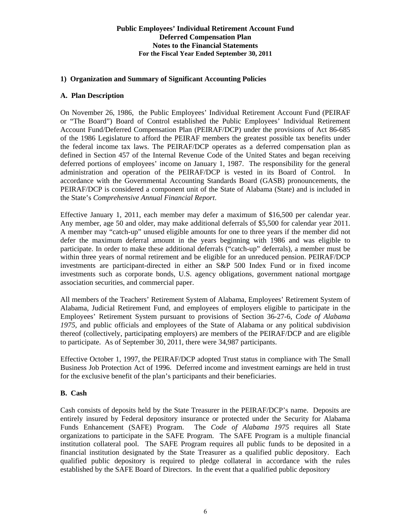# **1) Organization and Summary of Significant Accounting Policies**

#### **A. Plan Description**

On November 26, 1986, the Public Employees' Individual Retirement Account Fund (PEIRAF or "The Board") Board of Control established the Public Employees' Individual Retirement Account Fund/Deferred Compensation Plan (PEIRAF/DCP) under the provisions of Act 86-685 of the 1986 Legislature to afford the PEIRAF members the greatest possible tax benefits under the federal income tax laws. The PEIRAF/DCP operates as a deferred compensation plan as defined in Section 457 of the Internal Revenue Code of the United States and began receiving deferred portions of employees' income on January 1, 1987. The responsibility for the general administration and operation of the PEIRAF/DCP is vested in its Board of Control. In accordance with the Governmental Accounting Standards Board (GASB) pronouncements, the PEIRAF/DCP is considered a component unit of the State of Alabama (State) and is included in the State's *Comprehensive Annual Financial Report*.

Effective January 1, 2011, each member may defer a maximum of \$16,500 per calendar year. Any member, age 50 and older, may make additional deferrals of \$5,500 for calendar year 2011. A member may "catch-up" unused eligible amounts for one to three years if the member did not defer the maximum deferral amount in the years beginning with 1986 and was eligible to participate. In order to make these additional deferrals ("catch-up" deferrals), a member must be within three years of normal retirement and be eligible for an unreduced pension. PEIRAF/DCP investments are participant-directed in either an S&P 500 Index Fund or in fixed income investments such as corporate bonds, U.S. agency obligations, government national mortgage association securities, and commercial paper.

All members of the Teachers' Retirement System of Alabama, Employees' Retirement System of Alabama, Judicial Retirement Fund, and employees of employers eligible to participate in the Employees' Retirement System pursuant to provisions of Section 36-27-6, *Code of Alabama 1975,* and public officials and employees of the State of Alabama or any political subdivision thereof (collectively, participating employers) are members of the PEIRAF/DCP and are eligible to participate. As of September 30, 2011, there were 34,987 participants.

Effective October 1, 1997, the PEIRAF/DCP adopted Trust status in compliance with The Small Business Job Protection Act of 1996. Deferred income and investment earnings are held in trust for the exclusive benefit of the plan's participants and their beneficiaries.

# **B. Cash**

Cash consists of deposits held by the State Treasurer in the PEIRAF/DCP's name. Deposits are entirely insured by Federal depository insurance or protected under the Security for Alabama Funds Enhancement (SAFE) Program. The *Code of Alabama 1975* requires all State organizations to participate in the SAFE Program. The SAFE Program is a multiple financial institution collateral pool. The SAFE Program requires all public funds to be deposited in a financial institution designated by the State Treasurer as a qualified public depository. Each qualified public depository is required to pledge collateral in accordance with the rules established by the SAFE Board of Directors. In the event that a qualified public depository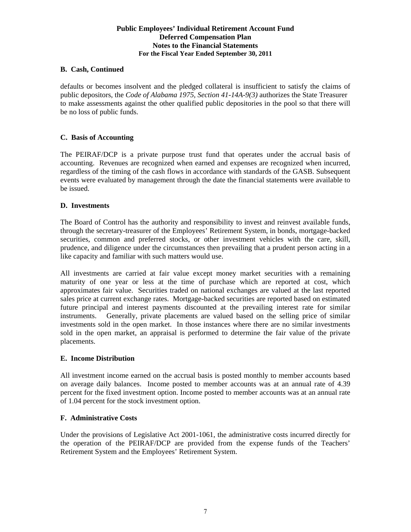# **B. Cash, Continued**

defaults or becomes insolvent and the pledged collateral is insufficient to satisfy the claims of public depositors, the *Code of Alabama 1975, Section 41-14A-9(3)* authorizes the State Treasurer to make assessments against the other qualified public depositories in the pool so that there will be no loss of public funds.

# **C. Basis of Accounting**

 The PEIRAF/DCP is a private purpose trust fund that operates under the accrual basis of accounting. Revenues are recognized when earned and expenses are recognized when incurred, regardless of the timing of the cash flows in accordance with standards of the GASB. Subsequent events were evaluated by management through the date the financial statements were available to be issued.

#### **D. Investments**

The Board of Control has the authority and responsibility to invest and reinvest available funds, through the secretary-treasurer of the Employees' Retirement System, in bonds, mortgage-backed securities, common and preferred stocks, or other investment vehicles with the care, skill, prudence, and diligence under the circumstances then prevailing that a prudent person acting in a like capacity and familiar with such matters would use.

All investments are carried at fair value except money market securities with a remaining maturity of one year or less at the time of purchase which are reported at cost, which approximates fair value. Securities traded on national exchanges are valued at the last reported sales price at current exchange rates. Mortgage-backed securities are reported based on estimated future principal and interest payments discounted at the prevailing interest rate for similar instruments. Generally, private placements are valued based on the selling price of similar investments sold in the open market. In those instances where there are no similar investments sold in the open market, an appraisal is performed to determine the fair value of the private placements.

#### **E. Income Distribution**

All investment income earned on the accrual basis is posted monthly to member accounts based on average daily balances. Income posted to member accounts was at an annual rate of 4.39 percent for the fixed investment option. Income posted to member accounts was at an annual rate of 1.04 percent for the stock investment option.

# **F. Administrative Costs**

Under the provisions of Legislative Act 2001-1061, the administrative costs incurred directly for the operation of the PEIRAF/DCP are provided from the expense funds of the Teachers' Retirement System and the Employees' Retirement System.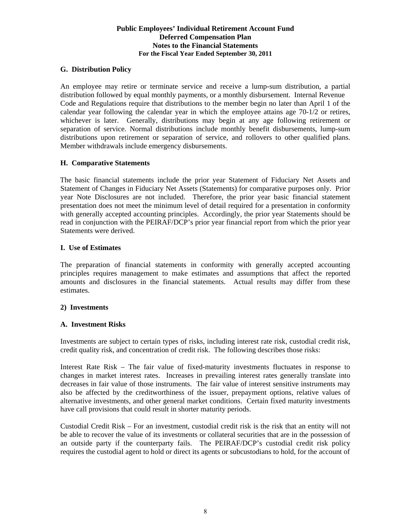# **G. Distribution Policy**

An employee may retire or terminate service and receive a lump-sum distribution, a partial distribution followed by equal monthly payments, or a monthly disbursement. Internal Revenue Code and Regulations require that distributions to the member begin no later than April 1 of the calendar year following the calendar year in which the employee attains age 70-1/2 or retires, whichever is later. Generally, distributions may begin at any age following retirement or separation of service. Normal distributions include monthly benefit disbursements, lump-sum distributions upon retirement or separation of service, and rollovers to other qualified plans. Member withdrawals include emergency disbursements.

#### **H. Comparative Statements**

 The basic financial statements include the prior year Statement of Fiduciary Net Assets and Statement of Changes in Fiduciary Net Assets (Statements) for comparative purposes only. Prior year Note Disclosures are not included. Therefore, the prior year basic financial statement presentation does not meet the minimum level of detail required for a presentation in conformity with generally accepted accounting principles. Accordingly, the prior year Statements should be read in conjunction with the PEIRAF/DCP's prior year financial report from which the prior year Statements were derived.

## **I. Use of Estimates**

The preparation of financial statements in conformity with generally accepted accounting principles requires management to make estimates and assumptions that affect the reported amounts and disclosures in the financial statements. Actual results may differ from these estimates.

#### **2) Investments**

#### **A. Investment Risks**

Investments are subject to certain types of risks, including interest rate risk, custodial credit risk, credit quality risk, and concentration of credit risk. The following describes those risks:

Interest Rate Risk – The fair value of fixed-maturity investments fluctuates in response to changes in market interest rates. Increases in prevailing interest rates generally translate into decreases in fair value of those instruments. The fair value of interest sensitive instruments may also be affected by the creditworthiness of the issuer, prepayment options, relative values of alternative investments, and other general market conditions. Certain fixed maturity investments have call provisions that could result in shorter maturity periods.

Custodial Credit Risk – For an investment, custodial credit risk is the risk that an entity will not be able to recover the value of its investments or collateral securities that are in the possession of an outside party if the counterparty fails. The PEIRAF/DCP's custodial credit risk policy requires the custodial agent to hold or direct its agents or subcustodians to hold, for the account of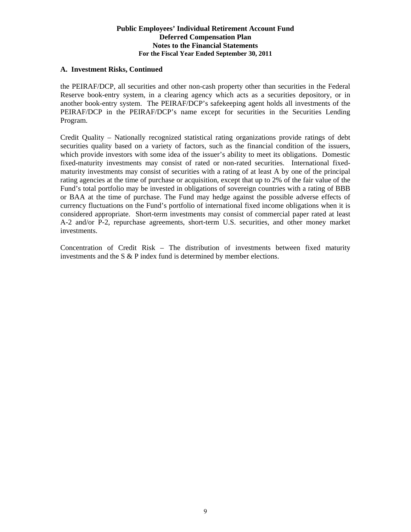#### **A. Investment Risks, Continued**

the PEIRAF/DCP, all securities and other non-cash property other than securities in the Federal Reserve book-entry system, in a clearing agency which acts as a securities depository, or in another book-entry system. The PEIRAF/DCP's safekeeping agent holds all investments of the PEIRAF/DCP in the PEIRAF/DCP's name except for securities in the Securities Lending Program.

Credit Quality – Nationally recognized statistical rating organizations provide ratings of debt securities quality based on a variety of factors, such as the financial condition of the issuers, which provide investors with some idea of the issuer's ability to meet its obligations. Domestic fixed-maturity investments may consist of rated or non-rated securities. International fixedmaturity investments may consist of securities with a rating of at least A by one of the principal rating agencies at the time of purchase or acquisition, except that up to 2% of the fair value of the Fund's total portfolio may be invested in obligations of sovereign countries with a rating of BBB or BAA at the time of purchase. The Fund may hedge against the possible adverse effects of currency fluctuations on the Fund's portfolio of international fixed income obligations when it is considered appropriate. Short-term investments may consist of commercial paper rated at least A-2 and/or P-2, repurchase agreements, short-term U.S. securities, and other money market investments.

Concentration of Credit Risk – The distribution of investments between fixed maturity investments and the S & P index fund is determined by member elections.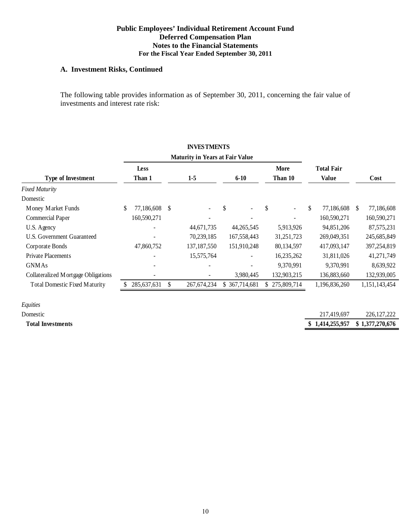# **A. Investment Risks, Continued**

The following table provides information as of September 30, 2011, concerning the fair value of investments and interest rate risk:

|                                      |                          |               | <b>INVESTMENTS</b>                     |                      |               |                   |     |               |
|--------------------------------------|--------------------------|---------------|----------------------------------------|----------------------|---------------|-------------------|-----|---------------|
|                                      |                          |               | <b>Maturity in Years at Fair Value</b> |                      |               |                   |     |               |
|                                      | <b>Less</b>              |               |                                        |                      | <b>More</b>   | <b>Total Fair</b> |     |               |
| <b>Type of Investment</b>            | Than 1                   |               | $1-5$                                  | $6 - 10$             | Than 10       | Value             |     | Cost          |
| <b>Fixed Maturity</b>                |                          |               |                                        |                      |               |                   |     |               |
| Domestic                             |                          |               |                                        |                      |               |                   |     |               |
| Money Market Funds                   | \$<br>77,186,608         | S             | $\overline{\phantom{0}}$               | \$<br>$\blacksquare$ | \$<br>٠       | \$<br>77,186,608  | \$. | 77,186,608    |
| Commercial Paper                     | 160,590,271              |               |                                        | ٠                    | ۰             | 160,590,271       |     | 160,590,271   |
| U.S. Agency                          |                          |               | 44,671,735                             | 44, 265, 545         | 5,913,926     | 94,851,206        |     | 87, 575, 231  |
| U.S. Government Guaranteed           |                          |               | 70,239,185                             | 167,558,443          | 31,251,723    | 269,049,351       |     | 245,685,849   |
| Corporate Bonds                      | 47,860,752               |               | 137, 187, 550                          | 151,910,248          | 80,134,597    | 417,093,147       |     | 397,254,819   |
| <b>Private Placements</b>            |                          |               | 15,575,764                             | ٠                    | 16,235,262    | 31,811,026        |     | 41,271,749    |
| <b>GNMAs</b>                         | $\overline{\phantom{0}}$ |               | ٠                                      |                      | 9,370,991     | 9,370,991         |     | 8,639,922     |
| Collateralized Mortgage Obligations  | ٠                        |               |                                        | 3,980,445            | 132,903,215   | 136,883,660       |     | 132,939,005   |
| <b>Total Domestic Fixed Maturity</b> | 285,637,631              | <sup>\$</sup> | 267, 674, 234                          | \$ 367,714,681       | \$275,809,714 | 1,196,836,260     |     | 1,151,143,454 |
|                                      |                          |               |                                        |                      |               |                   |     |               |

*Equities*

Domestic 217,419,697 226,127,222 **Total Investments \$ 1,414,255,957 \$ 1,377,270,676**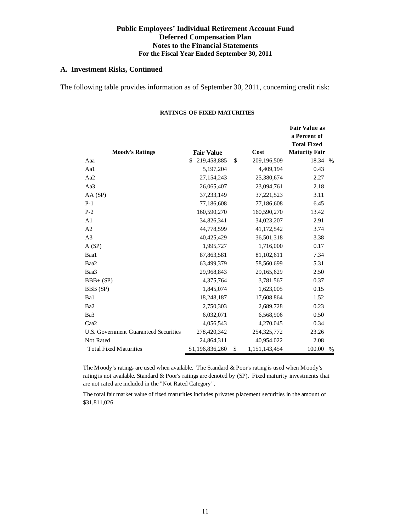# **A. Investment Risks, Continued**

The following table provides information as of September 30, 2011, concerning credit risk:

#### **RATINGS OF FIXED MATURITIES**

|                                       |                   |                     | <b>Fair Value as</b><br>a Percent of<br><b>Total Fixed</b> |      |
|---------------------------------------|-------------------|---------------------|------------------------------------------------------------|------|
| <b>Moody's Ratings</b>                | <b>Fair Value</b> | Cost                | <b>Maturity Fair</b>                                       |      |
| Aaa                                   | \$<br>219,458,885 | \$<br>209,196,509   | 18.34                                                      | $\%$ |
| Aal                                   | 5,197,204         | 4,409,194           | 0.43                                                       |      |
| Aa2                                   | 27,154,243        | 25,380,674          | 2.27                                                       |      |
| Aa3                                   | 26,065,407        | 23,094,761          | 2.18                                                       |      |
| AA(SP)                                | 37,233,149        | 37,221,523          | 3.11                                                       |      |
| $P-1$                                 | 77,186,608        | 77,186,608          | 6.45                                                       |      |
| $P-2$                                 | 160,590,270       | 160,590,270         | 13.42                                                      |      |
| A <sub>1</sub>                        | 34,826,341        | 34,023,207          | 2.91                                                       |      |
| A <sub>2</sub>                        | 44,778,599        | 41,172,542          | 3.74                                                       |      |
| A <sub>3</sub>                        | 40,425,429        | 36,501,318          | 3.38                                                       |      |
| A(SP)                                 | 1,995,727         | 1,716,000           | 0.17                                                       |      |
| Baa1                                  | 87,863,581        | 81,102,611          | 7.34                                                       |      |
| Baa2                                  | 63,499,379        | 58,560,699          | 5.31                                                       |      |
| Baa3                                  | 29,968,843        | 29,165,629          | 2.50                                                       |      |
| $BBB+ (SP)$                           | 4,375,764         | 3,781,567           | 0.37                                                       |      |
| BBB (SP)                              | 1,845,074         | 1,623,005           | 0.15                                                       |      |
| Ba1                                   | 18,248,187        | 17,608,864          | 1.52                                                       |      |
| Ba <sub>2</sub>                       | 2,750,303         | 2,689,728           | 0.23                                                       |      |
| Ba3                                   | 6,032,071         | 6,568,906           | 0.50                                                       |      |
| Caa <sub>2</sub>                      | 4,056,543         | 4,270,045           | 0.34                                                       |      |
| U.S. Government Guaranteed Securities | 278,420,342       | 254,325,772         | 23.26                                                      |      |
| <b>Not Rated</b>                      | 24,864,311        | 40,954,022          | 2.08                                                       |      |
| <b>Total Fixed Maturities</b>         | \$1,196,836,260   | \$<br>1,151,143,454 | 100.00                                                     | $\%$ |

The Moody's ratings are used when available. The Standard & Poor's rating is used when Moody's rating is not available. Standard & Poor's ratings are denoted by (SP). Fixed maturity investments that are not rated are included in the "Not Rated Category".

The total fair market value of fixed maturities includes privates placement securities in the amount of \$31,811,026.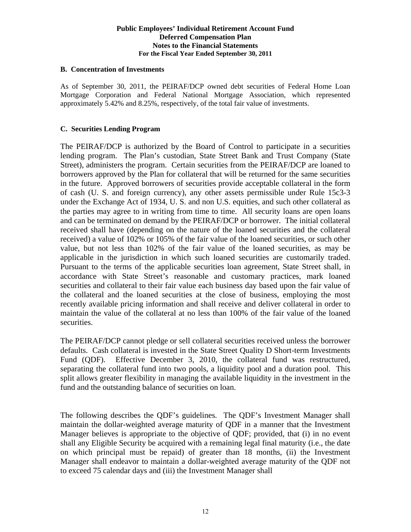#### **B. Concentration of Investments**

As of September 30, 2011, the PEIRAF/DCP owned debt securities of Federal Home Loan Mortgage Corporation and Federal National Mortgage Association, which represented approximately 5.42% and 8.25%, respectively, of the total fair value of investments.

# **C. Securities Lending Program**

The PEIRAF/DCP is authorized by the Board of Control to participate in a securities lending program. The Plan's custodian, State Street Bank and Trust Company (State Street), administers the program. Certain securities from the PEIRAF/DCP are loaned to borrowers approved by the Plan for collateral that will be returned for the same securities in the future. Approved borrowers of securities provide acceptable collateral in the form of cash (U. S. and foreign currency), any other assets permissible under Rule 15c3-3 under the Exchange Act of 1934, U. S. and non U.S. equities, and such other collateral as the parties may agree to in writing from time to time. All security loans are open loans and can be terminated on demand by the PEIRAF/DCP or borrower. The initial collateral received shall have (depending on the nature of the loaned securities and the collateral received) a value of 102% or 105% of the fair value of the loaned securities, or such other value, but not less than 102% of the fair value of the loaned securities, as may be applicable in the jurisdiction in which such loaned securities are customarily traded. Pursuant to the terms of the applicable securities loan agreement, State Street shall, in accordance with State Street's reasonable and customary practices, mark loaned securities and collateral to their fair value each business day based upon the fair value of the collateral and the loaned securities at the close of business, employing the most recently available pricing information and shall receive and deliver collateral in order to maintain the value of the collateral at no less than 100% of the fair value of the loaned securities.

The PEIRAF/DCP cannot pledge or sell collateral securities received unless the borrower defaults. Cash collateral is invested in the State Street Quality D Short-term Investments Fund (QDF). Effective December 3, 2010, the collateral fund was restructured, separating the collateral fund into two pools, a liquidity pool and a duration pool. This split allows greater flexibility in managing the available liquidity in the investment in the fund and the outstanding balance of securities on loan.

The following describes the QDF's guidelines. The QDF's Investment Manager shall maintain the dollar-weighted average maturity of QDF in a manner that the Investment Manager believes is appropriate to the objective of QDF; provided, that (i) in no event shall any Eligible Security be acquired with a remaining legal final maturity (i.e., the date on which principal must be repaid) of greater than 18 months, (ii) the Investment Manager shall endeavor to maintain a dollar-weighted average maturity of the QDF not to exceed 75 calendar days and (iii) the Investment Manager shall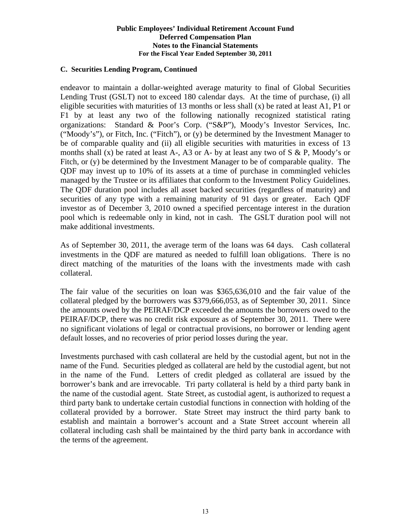# **C. Securities Lending Program, Continued**

endeavor to maintain a dollar-weighted average maturity to final of Global Securities Lending Trust (GSLT) not to exceed 180 calendar days. At the time of purchase, (i) all eligible securities with maturities of 13 months or less shall (x) be rated at least A1, P1 or F1 by at least any two of the following nationally recognized statistical rating organizations: Standard & Poor's Corp. ("S&P"), Moody's Investor Services, Inc. ("Moody's"), or Fitch, Inc. ("Fitch"), or (y) be determined by the Investment Manager to be of comparable quality and (ii) all eligible securities with maturities in excess of 13 months shall (x) be rated at least A-, A3 or A- by at least any two of  $S \& P$ , Moody's or Fitch, or (y) be determined by the Investment Manager to be of comparable quality. The QDF may invest up to 10% of its assets at a time of purchase in commingled vehicles managed by the Trustee or its affiliates that conform to the Investment Policy Guidelines. The QDF duration pool includes all asset backed securities (regardless of maturity) and securities of any type with a remaining maturity of 91 days or greater. Each QDF investor as of December 3, 2010 owned a specified percentage interest in the duration pool which is redeemable only in kind, not in cash. The GSLT duration pool will not make additional investments.

As of September 30, 2011, the average term of the loans was 64 days. Cash collateral investments in the QDF are matured as needed to fulfill loan obligations. There is no direct matching of the maturities of the loans with the investments made with cash collateral.

The fair value of the securities on loan was \$365,636,010 and the fair value of the collateral pledged by the borrowers was \$379,666,053, as of September 30, 2011. Since the amounts owed by the PEIRAF/DCP exceeded the amounts the borrowers owed to the PEIRAF/DCP, there was no credit risk exposure as of September 30, 2011. There were no significant violations of legal or contractual provisions, no borrower or lending agent default losses, and no recoveries of prior period losses during the year.

Investments purchased with cash collateral are held by the custodial agent, but not in the name of the Fund. Securities pledged as collateral are held by the custodial agent, but not in the name of the Fund. Letters of credit pledged as collateral are issued by the borrower's bank and are irrevocable. Tri party collateral is held by a third party bank in the name of the custodial agent. State Street, as custodial agent, is authorized to request a third party bank to undertake certain custodial functions in connection with holding of the collateral provided by a borrower. State Street may instruct the third party bank to establish and maintain a borrower's account and a State Street account wherein all collateral including cash shall be maintained by the third party bank in accordance with the terms of the agreement.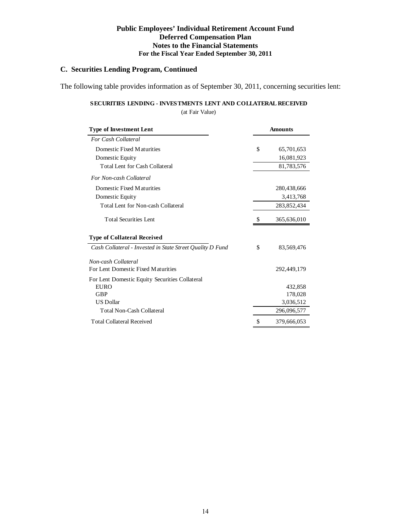# **C. Securities Lending Program, Continued**

The following table provides information as of September 30, 2011, concerning securities lent:

#### **SECURITIES LENDING - INVESTMENTS LENT AND COLLATERAL RECEIVED** (at Fair Value)

| <b>Type of Investment Lent</b>                            | <b>Amounts</b>    |  |  |  |
|-----------------------------------------------------------|-------------------|--|--|--|
| <b>For Cash Collateral</b>                                |                   |  |  |  |
| Domestic Fixed Maturities                                 | \$<br>65,701,653  |  |  |  |
| Domestic Equity                                           | 16,081,923        |  |  |  |
| Total Lent for Cash Collateral                            | 81,783,576        |  |  |  |
| For Non-cash Collateral                                   |                   |  |  |  |
| Domestic Fixed Maturities                                 | 280,438,666       |  |  |  |
| Domestic Equity                                           | 3,413,768         |  |  |  |
| Total Lent for Non-cash Collateral                        | 283,852,434       |  |  |  |
| <b>Total Securities Lent</b>                              | 365,636,010       |  |  |  |
| <b>Type of Collateral Received</b>                        |                   |  |  |  |
| Cash Collateral - Invested in State Street Quality D Fund | \$<br>83,569,476  |  |  |  |
| Non-cash Collateral                                       |                   |  |  |  |
| For Lent Domestic Fixed Maturities                        | 292,449,179       |  |  |  |
| For Lent Domestic Equity Securities Collateral            |                   |  |  |  |
| <b>EURO</b>                                               | 432,858           |  |  |  |
| GBP                                                       | 178,028           |  |  |  |
| <b>US</b> Dollar                                          | 3,036,512         |  |  |  |
| Total Non-Cash Collateral                                 | 296,096,577       |  |  |  |
| <b>Total Collateral Received</b>                          | \$<br>379,666,053 |  |  |  |